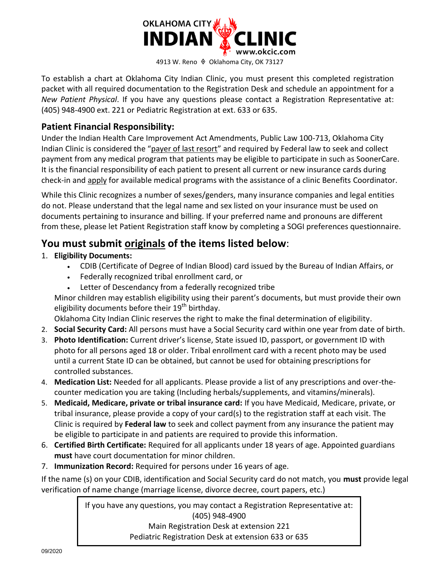

To establish a chart at Oklahoma City Indian Clinic, you must present this completed registration packet with all required documentation to the Registration Desk and schedule an appointment for a *New Patient Physical*. If you have any questions please contact a Registration Representative at: (405) 948-4900 ext. 221 or Pediatric Registration at ext. 633 or 635.

## **Patient Financial Responsibility:**

Under the Indian Health Care Improvement Act Amendments, Public Law 100-713, Oklahoma City Indian Clinic is considered the "payer of last resort" and required by Federal law to seek and collect payment from any medical program that patients may be eligible to participate in such as SoonerCare. It is the financial responsibility of each patient to present all current or new insurance cards during check-in and apply for available medical programs with the assistance of a clinic Benefits Coordinator.

While this Clinic recognizes a number of sexes/genders, many insurance companies and legal entities do not. Please understand that the legal name and sex listed on your insurance must be used on documents pertaining to insurance and billing. If your preferred name and pronouns are different from these, please let Patient Registration staff know by completing a SOGI preferences questionnaire.

## **You must submit originals of the items listed below**:

- 1. **Eligibility Documents:** 
	- CDIB (Certificate of Degree of Indian Blood) card issued by the Bureau of Indian Affairs, or
	- Federally recognized tribal enrollment card, or
	- Letter of Descendancy from a federally recognized tribe

Minor children may establish eligibility using their parent's documents, but must provide their own eligibility documents before their 19<sup>th</sup> birthday.

Oklahoma City Indian Clinic reserves the right to make the final determination of eligibility.

- 2. **Social Security Card:** All persons must have a Social Security card within one year from date of birth.
- 3. **Photo Identification:** Current driver's license, State issued ID, passport, or government ID with photo for all persons aged 18 or older. Tribal enrollment card with a recent photo may be used until a current State ID can be obtained, but cannot be used for obtaining prescriptions for controlled substances.
- 4. **Medication List:** Needed for all applicants. Please provide a list of any prescriptions and over-thecounter medication you are taking (Including herbals/supplements, and vitamins/minerals).
- 5. **Medicaid, Medicare, private or tribal insurance card:** If you have Medicaid, Medicare, private, or tribal insurance, please provide a copy of your card(s) to the registration staff at each visit. The Clinic is required by **Federal law** to seek and collect payment from any insurance the patient may be eligible to participate in and patients are required to provide this information.
- 6. **Certified Birth Certificate:** Required for all applicants under 18 years of age. Appointed guardians **must** have court documentation for minor children.
- 7. **Immunization Record:** Required for persons under 16 years of age.

If the name (s) on your CDIB, identification and Social Security card do not match, you **must** provide legal verification of name change (marriage license, divorce decree, court papers, etc.)

> If you have any questions, you may contact a Registration Representative at: (405) 948-4900 Main Registration Desk at extension 221

Pediatric Registration Desk at extension 633 or 635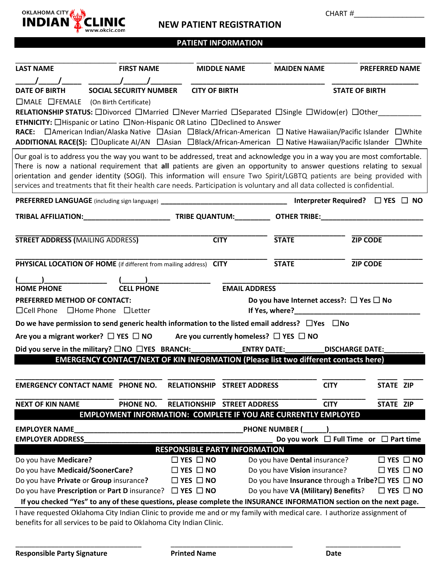

## **NEW PATIENT REGISTRATION**

CHART #\_\_\_\_\_\_\_\_\_\_\_\_\_\_\_\_\_\_\_\_\_\_\_

## **PATIENT INFORMATION**

| <b>LAST NAME</b>                                                                                                                                                                                                                 | <b>FIRST NAME</b>                                                                                                            |                                              | <b>MIDDLE NAME</b>    | <b>MAIDEN NAME</b>            | <b>PREFERRED NAME</b>                                                                                                                                                                                                                                                                                                                                                        |
|----------------------------------------------------------------------------------------------------------------------------------------------------------------------------------------------------------------------------------|------------------------------------------------------------------------------------------------------------------------------|----------------------------------------------|-----------------------|-------------------------------|------------------------------------------------------------------------------------------------------------------------------------------------------------------------------------------------------------------------------------------------------------------------------------------------------------------------------------------------------------------------------|
| <b>DATE OF BIRTH</b>                                                                                                                                                                                                             | <b>SOCIAL SECURITY NUMBER</b>                                                                                                | <b>CITY OF BIRTH</b>                         |                       |                               | <b>STATE OF BIRTH</b>                                                                                                                                                                                                                                                                                                                                                        |
| $\Box$ MALE $\Box$ FEMALE (On Birth Certificate)                                                                                                                                                                                 | <b>ETHNICITY:</b> $\Box$ Hispanic or Latino $\Box$ Non-Hispanic OR Latino $\Box$ Declined to Answer                          |                                              |                       |                               | RELATIONSHIP STATUS: ODivorced OMarried ONever Married OSeparated OSingle OWidow(er) OOther<br>RACE: □ American Indian/Alaska Native □ Asian □ Black/African-American □ Native Hawaiian/Pacific Islander □ White                                                                                                                                                             |
|                                                                                                                                                                                                                                  |                                                                                                                              |                                              |                       |                               | ADDITIONAL RACE(S): □Duplicate AI/AN □Asian □Black/African-American □ Native Hawaiian/Pacific Islander □White                                                                                                                                                                                                                                                                |
|                                                                                                                                                                                                                                  | services and treatments that fit their health care needs. Participation is voluntary and all data collected is confidential. |                                              |                       |                               | Our goal is to address you the way you want to be addressed, treat and acknowledge you in a way you are most comfortable.<br>There is now a national requirement that all patients are given an opportunity to answer questions relating to sexual<br>orientation and gender identity (SOGI). This information will ensure Two Spirit/LGBTQ patients are being provided with |
|                                                                                                                                                                                                                                  | PREFERRED LANGUAGE (including sign language) ___________________________________                                             |                                              |                       |                               | Interpreter Required? $\Box$ YES $\Box$ NO                                                                                                                                                                                                                                                                                                                                   |
|                                                                                                                                                                                                                                  |                                                                                                                              |                                              |                       |                               |                                                                                                                                                                                                                                                                                                                                                                              |
| <b>STREET ADDRESS (MAILING ADDRESS)</b>                                                                                                                                                                                          |                                                                                                                              |                                              | <b>CITY</b>           | <b>STATE</b>                  | <b>ZIP CODE</b>                                                                                                                                                                                                                                                                                                                                                              |
|                                                                                                                                                                                                                                  | PHYSICAL LOCATION OF HOME (if different from mailing address) CITY                                                           |                                              |                       | <b>STATE</b>                  | <b>ZIP CODE</b>                                                                                                                                                                                                                                                                                                                                                              |
|                                                                                                                                                                                                                                  |                                                                                                                              |                                              |                       |                               |                                                                                                                                                                                                                                                                                                                                                                              |
| <b>HOME PHONE</b>                                                                                                                                                                                                                | <b>CELL PHONE</b>                                                                                                            |                                              | <b>EMAIL ADDRESS</b>  |                               |                                                                                                                                                                                                                                                                                                                                                                              |
| PREFERRED METHOD OF CONTACT:<br>$\Box$ Cell Phone                                                                                                                                                                                | $\Box$ Home Phone $\Box$ Letter                                                                                              |                                              |                       | If Yes, where?                | Do you have Internet access?: $\Box$ Yes $\Box$ No                                                                                                                                                                                                                                                                                                                           |
| Do we have permission to send generic health information to the listed email address? $\Box$ Yes $\Box$ No                                                                                                                       |                                                                                                                              |                                              |                       |                               |                                                                                                                                                                                                                                                                                                                                                                              |
|                                                                                                                                                                                                                                  | Are you a migrant worker? $\Box$ YES $\Box$ NO Are you currently homeless? $\Box$ YES $\Box$ NO                              |                                              |                       |                               |                                                                                                                                                                                                                                                                                                                                                                              |
|                                                                                                                                                                                                                                  | Did you serve in the military? $\square$ NO $\square$ YES BRANCH: ENTRY DATE:                                                |                                              |                       |                               | <b>DISCHARGE DATE:</b>                                                                                                                                                                                                                                                                                                                                                       |
|                                                                                                                                                                                                                                  | <b>EMERGENCY CONTACT/NEXT OF KIN INFORMATION (Please list two different contacts here)</b>                                   |                                              |                       |                               |                                                                                                                                                                                                                                                                                                                                                                              |
|                                                                                                                                                                                                                                  | <b>EMERGENCY CONTACT NAME PHONE NO.</b>                                                                                      | <b>RELATIONSHIP</b>                          | <b>STREET ADDRESS</b> |                               | <b>CITY</b><br>STATE ZIP                                                                                                                                                                                                                                                                                                                                                     |
| <b>NEXT OF KIN NAME</b>                                                                                                                                                                                                          | PHONE NO.                                                                                                                    | <b>RELATIONSHIP STREET ADDRESS</b>           |                       |                               | <b>CITY</b><br>STATE ZIP                                                                                                                                                                                                                                                                                                                                                     |
|                                                                                                                                                                                                                                  | <b>EMPLOYMENT INFORMATION: COMPLETE IF YOU ARE CURRENTLY EMPLOYED</b>                                                        |                                              |                       |                               |                                                                                                                                                                                                                                                                                                                                                                              |
| <b>EMPLOYER NAME</b>                                                                                                                                                                                                             |                                                                                                                              |                                              |                       | <b>PHONE NUMBER (</b>         |                                                                                                                                                                                                                                                                                                                                                                              |
| <b>EMPLOYER ADDRESS</b>                                                                                                                                                                                                          |                                                                                                                              |                                              |                       |                               | Do you work $\Box$ Full Time or $\Box$ Part time                                                                                                                                                                                                                                                                                                                             |
|                                                                                                                                                                                                                                  |                                                                                                                              | <b>RESPONSIBLE PARTY INFORMATION</b>         |                       |                               |                                                                                                                                                                                                                                                                                                                                                                              |
| Do you have Medicare?                                                                                                                                                                                                            |                                                                                                                              | $\Box$ YES $\Box$ NO                         |                       | Do you have Dental insurance? | $\Box$ YES $\Box$ NO                                                                                                                                                                                                                                                                                                                                                         |
| Do you have Medicaid/SoonerCare?                                                                                                                                                                                                 |                                                                                                                              | $\Box$ YES $\Box$ NO<br>$\Box$ YES $\Box$ NO |                       | Do you have Vision insurance? | $\Box$ YES $\Box$ NO<br>Do you have Insurance through a Tribe? $\square$ YES $\square$ NO                                                                                                                                                                                                                                                                                    |
| Do you have Private or Group insurance?                                                                                                                                                                                          |                                                                                                                              |                                              |                       |                               | $\Box$ YES $\Box$ NO                                                                                                                                                                                                                                                                                                                                                         |
| Do you have Prescription or Part D insurance? $\Box$ YES $\Box$ NO<br>Do you have VA (Military) Benefits?<br>If you checked "Yes" to any of these questions, please complete the INSURANCE INFORMATION section on the next page. |                                                                                                                              |                                              |                       |                               |                                                                                                                                                                                                                                                                                                                                                                              |
|                                                                                                                                                                                                                                  |                                                                                                                              |                                              |                       |                               | I have requested Oklahoma City Indian Clinic to provide me and or my family with medical care. I authorize assignment of                                                                                                                                                                                                                                                     |
|                                                                                                                                                                                                                                  | benefits for all services to be paid to Oklahoma City Indian Clinic.                                                         |                                              |                       |                               |                                                                                                                                                                                                                                                                                                                                                                              |

\_\_\_\_\_\_\_\_\_\_\_\_\_\_\_\_\_\_\_\_\_\_\_\_\_\_\_\_\_\_\_\_ \_\_\_\_\_\_\_\_\_\_\_\_\_\_\_\_\_\_\_\_\_\_\_\_\_\_\_\_\_\_\_ \_\_\_\_\_\_\_\_\_\_\_\_\_\_\_\_\_\_\_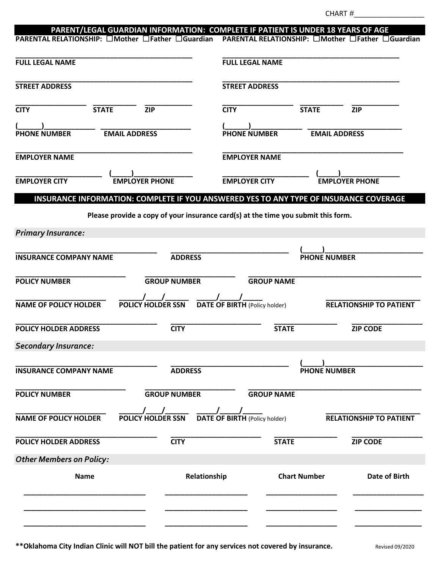| PARENT/LEGAL GUARDIAN INFORMATION: COMPLETE IF PATIENT IS UNDER 18 YEARS OF AGE<br>PARENTAL RELATIONSHIP: □Mother □Father □Guardian |                       |                                                                                   |                      | PARENTAL RELATIONSHIP: □Mother □Father □Guardian |
|-------------------------------------------------------------------------------------------------------------------------------------|-----------------------|-----------------------------------------------------------------------------------|----------------------|--------------------------------------------------|
| <b>FULL LEGAL NAME</b>                                                                                                              |                       | <b>FULL LEGAL NAME</b>                                                            |                      |                                                  |
| <b>STREET ADDRESS</b>                                                                                                               |                       | <b>STREET ADDRESS</b>                                                             |                      |                                                  |
|                                                                                                                                     |                       |                                                                                   |                      |                                                  |
| <b>CITY</b><br><b>STATE</b>                                                                                                         | ZIP                   | <b>CITY</b>                                                                       | <b>STATE</b>         | <b>ZIP</b>                                       |
| <b>PHONE NUMBER</b><br><b>EMAIL ADDRESS</b>                                                                                         |                       | <b>PHONE NUMBER</b>                                                               | <b>EMAIL ADDRESS</b> |                                                  |
| <b>EMPLOYER NAME</b>                                                                                                                |                       | <b>EMPLOYER NAME</b>                                                              |                      |                                                  |
| <b>EMPLOYER CITY</b>                                                                                                                | <b>EMPLOYER PHONE</b> | <b>EMPLOYER CITY</b>                                                              |                      | <b>FMPLOYER PHONE</b>                            |
| INSURANCE INFORMATION: COMPLETE IF YOU ANSWERED YES TO ANY TYPE OF INSURANCE COVERAGE                                               |                       |                                                                                   |                      |                                                  |
|                                                                                                                                     |                       | Please provide a copy of your insurance card(s) at the time you submit this form. |                      |                                                  |
| <b>Primary Insurance:</b>                                                                                                           |                       |                                                                                   |                      |                                                  |
| <b>INSURANCE COMPANY NAME</b>                                                                                                       | <b>ADDRESS</b>        |                                                                                   | <b>PHONE NUMBER</b>  |                                                  |
| <b>POLICY NUMBER</b>                                                                                                                | <b>GROUP NUMBER</b>   | <b>GROUP NAME</b>                                                                 |                      |                                                  |
| <b>NAME OF POLICY HOLDER</b>                                                                                                        | POLICY HOLDER SSN     | <b>DATE OF BIRTH (Policy holder)</b>                                              |                      | <b>RELATIONSHIP TO PATIENT</b>                   |
| <b>POLICY HOLDER ADDRESS</b>                                                                                                        | <b>CITY</b>           | <b>STATE</b>                                                                      |                      | <b>ZIP CODE</b>                                  |
| <b>Secondary Insurance:</b>                                                                                                         |                       |                                                                                   |                      |                                                  |
| <b>INSURANCE COMPANY NAME</b>                                                                                                       | <b>ADDRESS</b>        |                                                                                   | <b>PHONE NUMBER</b>  |                                                  |
| <b>POLICY NUMBER</b>                                                                                                                | <b>GROUP NUMBER</b>   | <b>GROUP NAME</b>                                                                 |                      |                                                  |
| <b>NAME OF POLICY HOLDER</b>                                                                                                        | POLICY HOLDER SSN     | <b>DATE OF BIRTH (Policy holder)</b>                                              |                      | <b>RELATIONSHIP TO PATIENT</b>                   |
| <b>POLICY HOLDER ADDRESS</b>                                                                                                        | <b>CITY</b>           | <b>STATE</b>                                                                      |                      | <b>ZIP CODE</b>                                  |
| <b>Other Members on Policy:</b>                                                                                                     |                       |                                                                                   |                      |                                                  |
| <b>Name</b>                                                                                                                         | Relationship          |                                                                                   | <b>Chart Number</b>  | Date of Birth                                    |
|                                                                                                                                     |                       |                                                                                   |                      |                                                  |
|                                                                                                                                     |                       |                                                                                   |                      |                                                  |

**\*\*Oklahoma City Indian Clinic will NOT bill the patient for any services not covered by insurance.** Revised 09/2020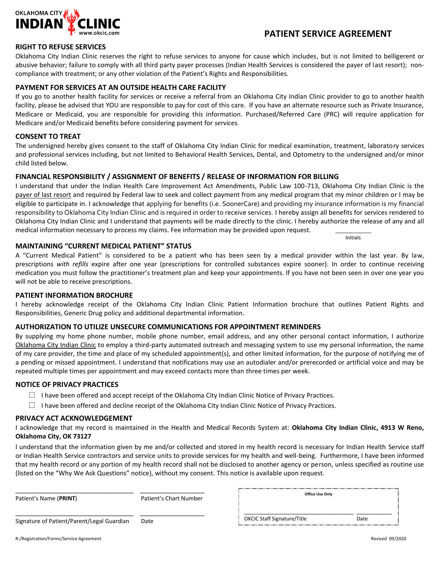

## **PATIENT SERVICE AGREEMENT**

Initials

#### **RIGHT TO REFUSE SERVICES**

Oklahoma City Indian Clinic reserves the right to refuse services to anyone for cause which includes, but is not limited to belligerent or abusive behavior; failure to comply with all third party payer processes (Indian Health Services is considered the payer of last resort); noncompliance with treatment; or any other violation of the Patient's Rights and Responsibilities.

#### **PAYMENT FOR SERVICES AT AN OUTSIDE HEALTH CARE FACILITY**

If you go to another health facility for services or receive a referral from an Oklahoma City Indian Clinic provider to go to another health facility, please be advised that YOU are responsible to pay for cost of this care. If you have an alternate resource such as Private Insurance, Medicare or Medicaid, you are responsible for providing this information. Purchased/Referred Care (PRC) will require application for Medicare and/or Medicaid benefits before considering payment for *services.*

#### **CONSENT TO TREAT**

The undersigned hereby gives consent to the staff of Oklahoma City Indian Clinic for medical examination, treatment, laboratory services and professional services including, but not limited to Behavioral Health Services, Dental, and Optometry to the undersigned and/or minor child listed below.

#### **FINANCIAL RESPONSIBILITY / ASSIGNMENT OF BENEFITS / RELEASE OF INFORMATION FOR BILLING**

I understand that under the Indian Health Care Improvement Act Amendments, Public Law 100-713, Oklahoma City Indian Clinic is the payer of last resort and required by Federal law to seek and collect payment from any medical program that my minor children or I may be eligible to participate in. I acknowledge that applying for benefits (i.e. SoonerCare) and providing my insurance information is my financial responsibility to Oklahoma City Indian Clinic and is required in order to receive services. I hereby assign all benefits for services rendered to Oklahoma City Indian Clinic and I understand that payments will be made directly to the clinic. I hereby authorize the release of any and all medical information necessary to process my claims. Fee information may be provided upon request.

#### **MAINTAINING "CURRENT MEDICAL PATIENT" STATUS**

A "Current Medical Patient" is considered to be a patient who has been seen by a medical provider within the last year. By law, prescriptions *with refills* expire after one year (prescriptions for controlled substances expire sooner). In order to continue receiving medication you must follow the practitioner's treatment plan and keep your appointments. If you have not been seen in over one year you will not be able to receive prescriptions.

#### **PATIENT INFORMATION BROCHURE**

I hereby acknowledge receipt of the Oklahoma City Indian Clinic Patient Information brochure that outlines Patient Rights and Responsibilities, Generic Drug policy and additional departmental information.

#### **AUTHORIZATION TO UTILIZE UNSECURE COMMUNICATIONS FOR APPOINTMENT REMINDERS**

By supplying my home phone number, mobile phone number, email address, and any other personal contact information, I authorize Oklahoma City Indian Clinic to employ a third-party automated outreach and messaging system to use my personal information, the name of my care provider, the time and place of my scheduled appointment(s), and other limited information, for the purpose of notifying me of a pending or missed appointment. I understand that notifications may use an autodialer and/or prerecorded or artificial voice and may be repeated multiple times per appointment and may exceed contacts more than three times per week.

#### **NOTICE OF PRIVACY PRACTICES**

- $\Box$  I have been offered and accept receipt of the Oklahoma City Indian Clinic Notice of Privacy Practices.
- $\Box$  I have been offered and decline receipt of the Oklahoma City Indian Clinic Notice of Privacy Practices.

#### **PRIVACY ACT ACKNOWLEDGEMENT**

I acknowledge that my record is maintained in the Health and Medical Records System at: **Oklahoma City Indian Clinic, 4913 W Reno, Oklahoma City, OK 73127**

I understand that the information given by me and/or collected and stored in my health record is necessary for Indian Health Service staff or Indian Health Service contractors and service units to provide services for my health and well-being. Furthermore, I have been informed that my health record or any portion of my health record shall not be disclosed to another agency or person, unless specified as routine use (listed on the "Why We Ask Questions" notice), without my consent. This notice is available upon request.

| Patient's Name (PRINT)                     | Patient's Chart Number | Office Use Only                    |      |
|--------------------------------------------|------------------------|------------------------------------|------|
| Signature of Patient/Parent/Legal Guardian | Date                   | <b>OKCIC Staff Signature/Title</b> | Date |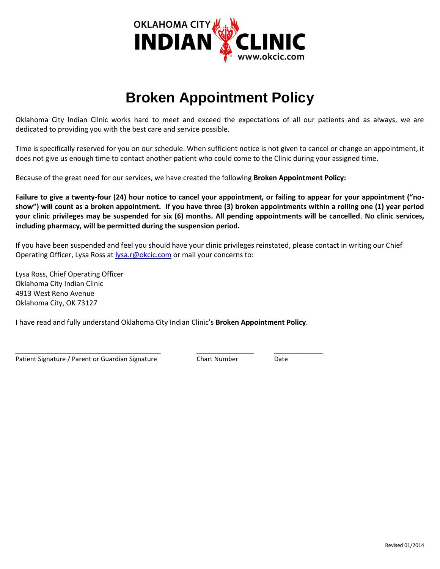

# **Broken Appointment Policy**

Oklahoma City Indian Clinic works hard to meet and exceed the expectations of all our patients and as always, we are dedicated to providing you with the best care and service possible.

Time is specifically reserved for you on our schedule. When sufficient notice is not given to cancel or change an appointment, it does not give us enough time to contact another patient who could come to the Clinic during your assigned time.

Because of the great need for our services, we have created the following **Broken Appointment Policy:**

**Failure to give a twenty-four (24) hour notice to cancel your appointment, or failing to appear for your appointment ("noshow") will count as a broken appointment. If you have three (3) broken appointments within a rolling one (1) year period your clinic privileges may be suspended for six (6) months. All pending appointments will be cancelled**. **No clinic services, including pharmacy, will be permitted during the suspension period.**

If you have been suspended and feel you should have your clinic privileges reinstated, please contact in writing our Chief Operating Officer, Lysa Ross at **lysa.r@okcic.com** or mail your concerns to:

Lysa Ross, Chief Operating Officer Oklahoma City Indian Clinic 4913 West Reno Avenue Oklahoma City, OK 73127

I have read and fully understand Oklahoma City Indian Clinic's **Broken Appointment Policy**.

Patient Signature / Parent or Guardian Signature Chart Number Date

\_\_\_\_\_\_\_\_\_\_\_\_\_\_\_\_\_\_\_\_\_\_\_\_\_\_\_\_\_\_\_\_\_ \_\_\_\_\_\_\_\_\_\_\_\_\_ \_\_\_\_\_\_\_\_\_\_\_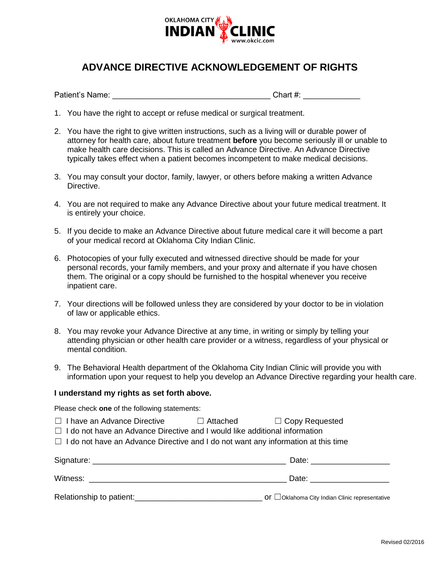

# **ADVANCE DIRECTIVE ACKNOWLEDGEMENT OF RIGHTS**

Patient's Name: <u>and the set of the set of the set of the set of the set of the set of the set of the set of the set of the set of the set of the set of the set of the set of the set of the set of the set of the set of the</u>

- 1. You have the right to accept or refuse medical or surgical treatment.
- 2. You have the right to give written instructions, such as a living will or durable power of attorney for health care, about future treatment **before** you become seriously ill or unable to make health care decisions. This is called an Advance Directive. An Advance Directive typically takes effect when a patient becomes incompetent to make medical decisions.
- 3. You may consult your doctor, family, lawyer, or others before making a written Advance Directive.
- 4. You are not required to make any Advance Directive about your future medical treatment. It is entirely your choice.
- 5. If you decide to make an Advance Directive about future medical care it will become a part of your medical record at Oklahoma City Indian Clinic.
- 6. Photocopies of your fully executed and witnessed directive should be made for your personal records, your family members, and your proxy and alternate if you have chosen them. The original or a copy should be furnished to the hospital whenever you receive inpatient care.
- 7. Your directions will be followed unless they are considered by your doctor to be in violation of law or applicable ethics.
- 8. You may revoke your Advance Directive at any time, in writing or simply by telling your attending physician or other health care provider or a witness, regardless of your physical or mental condition.
- 9. The Behavioral Health department of the Oklahoma City Indian Clinic will provide you with information upon your request to help you develop an Advance Directive regarding your health care.

#### **I understand my rights as set forth above.**

Please check **one** of the following statements:

- ☐ I have an Advance Directive ☐ Attached ☐ Copy Requested
- ☐ I do not have an Advance Directive and I would like additional information
- $\Box$  I do not have an Advance Directive and I do not want any information at this time

| Signature:               | Date:                                                        |
|--------------------------|--------------------------------------------------------------|
| Witness:                 | Date:                                                        |
| Relationship to patient: | $\circ$ Of $\Box$ Oklahoma City Indian Clinic representative |